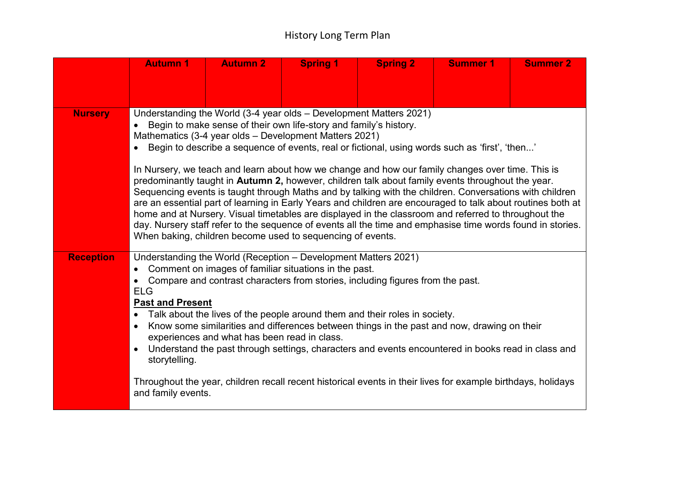## History Long Term Plan

|                  | <b>Autumn 1</b>                                                                                                                                                                                                                                                                                                                                                                                                                                                                                                                                                                                                                                                                                                                                                                                                                                                                                                                                                                                                            | <b>Autumn 2</b> | <b>Spring 1</b> | <b>Spring 2</b> | <b>Summer 1</b> | <b>Summer 2</b> |  |
|------------------|----------------------------------------------------------------------------------------------------------------------------------------------------------------------------------------------------------------------------------------------------------------------------------------------------------------------------------------------------------------------------------------------------------------------------------------------------------------------------------------------------------------------------------------------------------------------------------------------------------------------------------------------------------------------------------------------------------------------------------------------------------------------------------------------------------------------------------------------------------------------------------------------------------------------------------------------------------------------------------------------------------------------------|-----------------|-----------------|-----------------|-----------------|-----------------|--|
|                  |                                                                                                                                                                                                                                                                                                                                                                                                                                                                                                                                                                                                                                                                                                                                                                                                                                                                                                                                                                                                                            |                 |                 |                 |                 |                 |  |
|                  |                                                                                                                                                                                                                                                                                                                                                                                                                                                                                                                                                                                                                                                                                                                                                                                                                                                                                                                                                                                                                            |                 |                 |                 |                 |                 |  |
| <b>Nursery</b>   | Understanding the World (3-4 year olds - Development Matters 2021)<br>Begin to make sense of their own life-story and family's history.<br>Mathematics (3-4 year olds - Development Matters 2021)<br>Begin to describe a sequence of events, real or fictional, using words such as 'first', 'then'<br>In Nursery, we teach and learn about how we change and how our family changes over time. This is<br>predominantly taught in Autumn 2, however, children talk about family events throughout the year.<br>Sequencing events is taught through Maths and by talking with the children. Conversations with children<br>are an essential part of learning in Early Years and children are encouraged to talk about routines both at<br>home and at Nursery. Visual timetables are displayed in the classroom and referred to throughout the<br>day. Nursery staff refer to the sequence of events all the time and emphasise time words found in stories.<br>When baking, children become used to sequencing of events. |                 |                 |                 |                 |                 |  |
| <b>Reception</b> | Understanding the World (Reception - Development Matters 2021)<br>Comment on images of familiar situations in the past.<br>Compare and contrast characters from stories, including figures from the past.<br><b>ELG</b><br><b>Past and Present</b><br>Talk about the lives of the people around them and their roles in society.<br>Know some similarities and differences between things in the past and now, drawing on their<br>$\bullet$<br>experiences and what has been read in class.<br>Understand the past through settings, characters and events encountered in books read in class and<br>$\bullet$<br>storytelling.<br>Throughout the year, children recall recent historical events in their lives for example birthdays, holidays<br>and family events.                                                                                                                                                                                                                                                     |                 |                 |                 |                 |                 |  |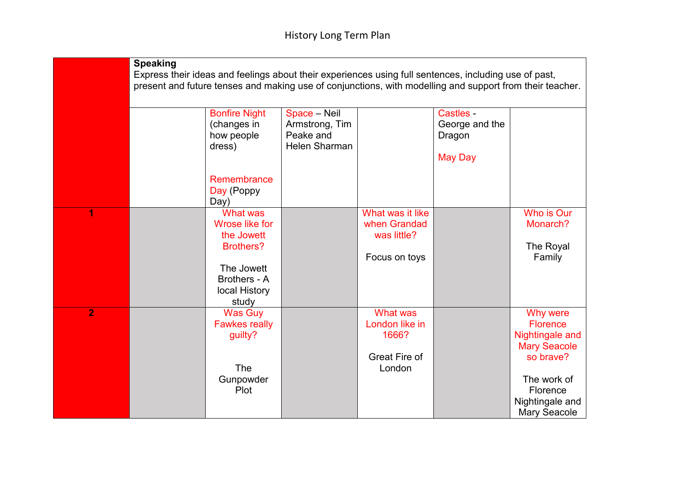|                | <b>Speaking</b>                                                                                          |                         |                      |                      |                |                        |  |
|----------------|----------------------------------------------------------------------------------------------------------|-------------------------|----------------------|----------------------|----------------|------------------------|--|
|                | Express their ideas and feelings about their experiences using full sentences, including use of past,    |                         |                      |                      |                |                        |  |
|                | present and future tenses and making use of conjunctions, with modelling and support from their teacher. |                         |                      |                      |                |                        |  |
|                |                                                                                                          |                         |                      |                      |                |                        |  |
|                |                                                                                                          | <b>Bonfire Night</b>    | Space - Neil         |                      | Castles -      |                        |  |
|                |                                                                                                          | (changes in             | Armstrong, Tim       |                      | George and the |                        |  |
|                |                                                                                                          | how people              | Peake and            |                      | Dragon         |                        |  |
|                |                                                                                                          | dress)                  | <b>Helen Sharman</b> |                      |                |                        |  |
|                |                                                                                                          |                         |                      |                      | <b>May Day</b> |                        |  |
|                |                                                                                                          |                         |                      |                      |                |                        |  |
|                |                                                                                                          | Remembrance             |                      |                      |                |                        |  |
|                |                                                                                                          | Day (Poppy              |                      |                      |                |                        |  |
|                |                                                                                                          | Day)                    |                      |                      |                |                        |  |
| 1              |                                                                                                          | <b>What was</b>         |                      | What was it like     |                | Who is Our             |  |
|                |                                                                                                          | <b>Wrose like for</b>   |                      | when Grandad         |                | Monarch?               |  |
|                |                                                                                                          | the Jowett              |                      | was little?          |                |                        |  |
|                |                                                                                                          | <b>Brothers?</b>        |                      |                      |                | The Royal              |  |
|                |                                                                                                          |                         |                      | Focus on toys        |                | Family                 |  |
|                |                                                                                                          | The Jowett              |                      |                      |                |                        |  |
|                |                                                                                                          | Brothers - A            |                      |                      |                |                        |  |
|                |                                                                                                          | local History           |                      |                      |                |                        |  |
| $\overline{2}$ |                                                                                                          | study<br><b>Was Guy</b> |                      | <b>What was</b>      |                | Why were               |  |
|                |                                                                                                          | <b>Fawkes really</b>    |                      | London like in       |                | <b>Florence</b>        |  |
|                |                                                                                                          | guilty?                 |                      | 1666?                |                | <b>Nightingale and</b> |  |
|                |                                                                                                          |                         |                      |                      |                | <b>Mary Seacole</b>    |  |
|                |                                                                                                          |                         |                      | <b>Great Fire of</b> |                | so brave?              |  |
|                |                                                                                                          | <b>The</b>              |                      | London               |                |                        |  |
|                |                                                                                                          | Gunpowder               |                      |                      |                | The work of            |  |
|                |                                                                                                          | Plot                    |                      |                      |                | Florence               |  |
|                |                                                                                                          |                         |                      |                      |                | Nightingale and        |  |
|                |                                                                                                          |                         |                      |                      |                | <b>Mary Seacole</b>    |  |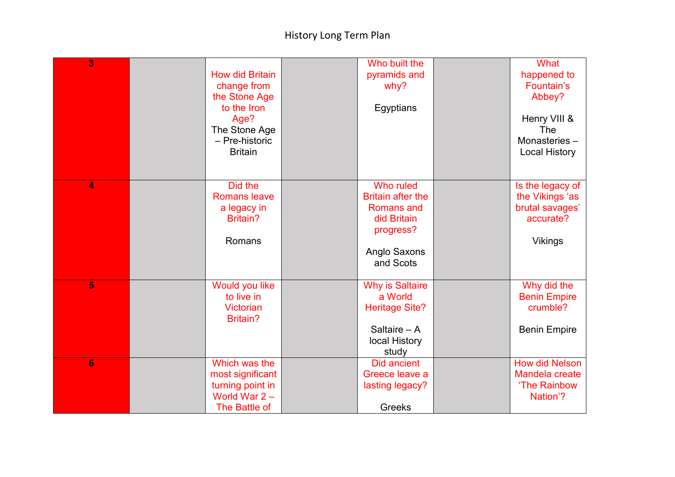## History Long Term Plan

| 3               | <b>How did Britain</b><br>change from<br>the Stone Age<br>to the Iron<br>Age?<br>The Stone Age<br>- Pre-historic<br><b>Britain</b> | Who built the<br>pyramids and<br>why?<br>Egyptians                                                                  | What<br>happened to<br>Fountain's<br>Abbey?<br>Henry VIII &<br>The<br>Monasteries-<br><b>Local History</b> |
|-----------------|------------------------------------------------------------------------------------------------------------------------------------|---------------------------------------------------------------------------------------------------------------------|------------------------------------------------------------------------------------------------------------|
| 4               | Did the<br><b>Romans leave</b><br>a legacy in<br>Britain?<br>Romans                                                                | Who ruled<br><b>Britain after the</b><br><b>Romans and</b><br>did Britain<br>progress?<br>Anglo Saxons<br>and Scots | Is the legacy of<br>the Vikings 'as<br>brutal savages'<br>accurate?<br><b>Vikings</b>                      |
| 5               | Would you like<br>to live in<br><b>Victorian</b><br><b>Britain?</b>                                                                | <b>Why is Saltaire</b><br>a World<br><b>Heritage Site?</b><br>Saltaire $- A$<br>local History<br>study              | Why did the<br><b>Benin Empire</b><br>crumble?<br><b>Benin Empire</b>                                      |
| $6\phantom{1}6$ | Which was the<br>most significant<br>turning point in<br>World War $2 -$<br>The Battle of                                          | <b>Did ancient</b><br>Greece leave a<br>lasting legacy?<br>Greeks                                                   | <b>How did Nelson</b><br>Mandela create<br>'The Rainbow<br>Nation'?                                        |